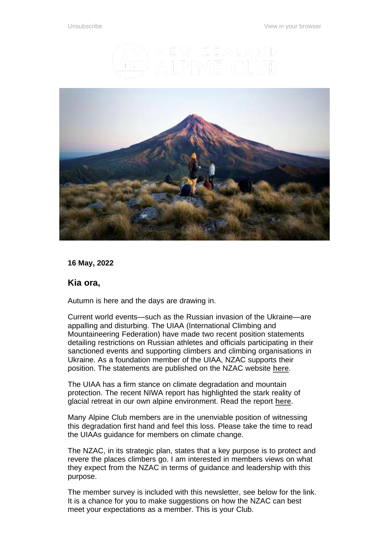



**16 May, 2022**

#### **Kia ora,**

Autumn is here and the days are drawing in.

Current world events—such as the Russian invasion of the Ukraine—are appalling and disturbing. The UIAA (International Climbing and Mountaineering Federation) have made two recent position statements detailing restrictions on Russian athletes and officials participating in their sanctioned events and supporting climbers and climbing organisations in Ukraine. As a foundation member of the UIAA, NZAC supports their position. The statements are published on the NZAC website **[here](https://alpineclub.org.nz/club-news/nzac-statement-situation-ukraine)**.

The UIAA has a firm stance on climate degradation and mountain protection. The recent NIWA report has highlighted the stark reality of glacial retreat in our own alpine environment. Read the report **[here](https://www.stats.govt.nz/indicators/annual-glacier-ice-volumes)**.

Many Alpine Club members are in the unenviable position of witnessing this degradation first hand and feel this loss. Please take the time to read the UIAAs guidance for members on climate change.

The NZAC, in its strategic plan, states that a key purpose is to protect and revere the places climbers go. I am interested in members views on what they expect from the NZAC in terms of guidance and leadership with this purpose.

The member survey is included with this newsletter, see below for the link. It is a chance for you to make suggestions on how the NZAC can best meet your expectations as a member. This is your Club.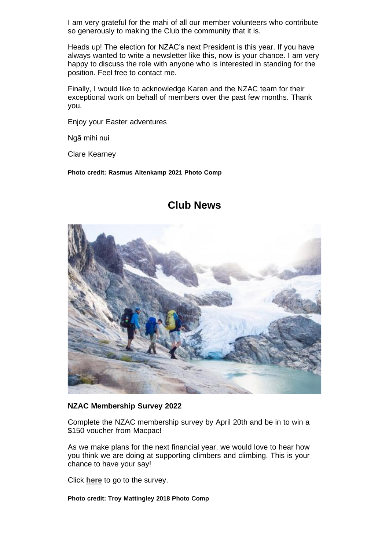I am very grateful for the mahi of all our member volunteers who contribute so generously to making the Club the community that it is.

Heads up! The election for NZAC's next President is this year. If you have always wanted to write a newsletter like this, now is your chance. I am very happy to discuss the role with anyone who is interested in standing for the position. Feel free to contact me.

Finally, I would like to acknowledge Karen and the NZAC team for their exceptional work on behalf of members over the past few months. Thank you.

Enjoy your Easter adventures

Ngā mihi nui

Clare Kearney

**Photo credit: Rasmus Altenkamp 2021 Photo Comp**



### **Club News**

#### **NZAC Membership Survey 2022**

Complete the NZAC membership survey by April 20th and be in to win a \$150 voucher from Macpac!

As we make plans for the next financial year, we would love to hear how you think we are doing at supporting climbers and climbing. This is your chance to have your say!

Click **[here](https://www.surveymonkey.com/r/MT7C86Q)** to go to the survey.

**Photo credit: Troy Mattingley 2018 Photo Comp**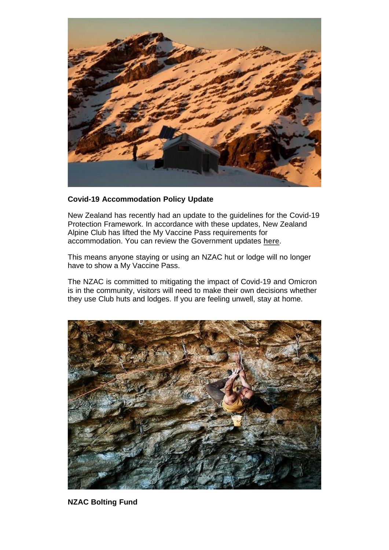

#### **Covid-19 Accommodation Policy Update**

New Zealand has recently had an update to the guidelines for the Covid-19 Protection Framework. In accordance with these updates, New Zealand Alpine Club has lifted the My Vaccine Pass requirements for accommodation. You can review the Government updates **[here](https://covid19.govt.nz/)**.

This means anyone staying or using an NZAC hut or lodge will no longer have to show a My Vaccine Pass.

The NZAC is committed to mitigating the impact of Covid-19 and Omicron is in the community, visitors will need to make their own decisions whether they use Club huts and lodges. If you are feeling unwell, stay at home.



**NZAC Bolting Fund**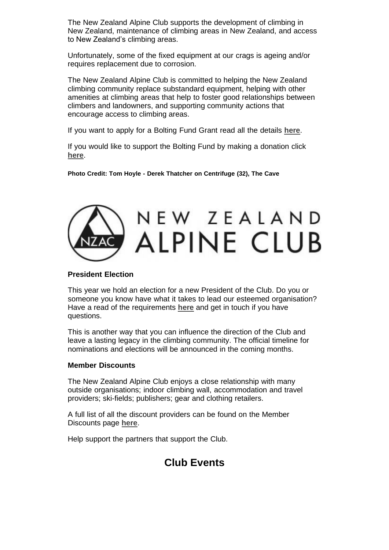The New Zealand Alpine Club supports the development of climbing in New Zealand, maintenance of climbing areas in New Zealand, and access to New Zealand's climbing areas.

Unfortunately, some of the fixed equipment at our crags is ageing and/or requires replacement due to corrosion.

The New Zealand Alpine Club is committed to helping the New Zealand climbing community replace substandard equipment, helping with other amenities at climbing areas that help to foster good relationships between climbers and landowners, and supporting community actions that encourage access to climbing areas.

If you want to apply for a Bolting Fund Grant read all the details **[here](https://alpineclub.org.nz/bolting-fund-grant-application)**.

If you would like to support the Bolting Fund by making a donation click **[here](https://alpineclub.org.nz/civicrm/contribute/transact?reset=1&id=8)**.

**Photo Credit: Tom Hoyle - Derek Thatcher on Centrifuge (32), The Cave**

# NEW ZEALAND **ALPINE CLUB**

#### **President Election**

This year we hold an election for a new President of the Club. Do you or someone you know have what it takes to lead our esteemed organisation? Have a read of the requirements **[here](https://alpineclub.org.nz/board)** and get in touch if you have questions.

This is another way that you can influence the direction of the Club and leave a lasting legacy in the climbing community. The official timeline for nominations and elections will be announced in the coming months.

#### **Member Discounts**

The New Zealand Alpine Club enjoys a close relationship with many outside organisations; indoor climbing wall, accommodation and travel providers; ski-fields; publishers; gear and clothing retailers.

A full list of all the discount providers can be found on the Member Discounts page **[here](https://alpineclub.org.nz/member-discounts)**.

Help support the partners that support the Club.

## **Club Events**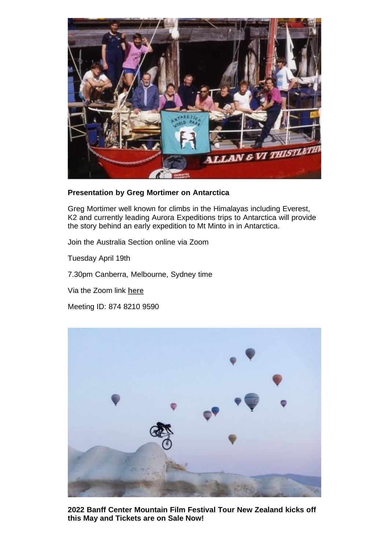

#### **Presentation by Greg Mortimer on Antarctica**

Greg Mortimer well known for climbs in the Himalayas including Everest, K2 and currently leading Aurora Expeditions trips to Antarctica will provide the story behind an early expedition to Mt Minto in in Antarctica.

Join the Australia Section online via Zoom

Tuesday April 19th

7.30pm Canberra, Melbourne, Sydney time

Via the Zoom link **[here](https://us02web.zoom.us/j/87482109590)**

Meeting ID: 874 8210 9590



**2022 Banff Center Mountain Film Festival Tour New Zealand kicks off this May and Tickets are on Sale Now!**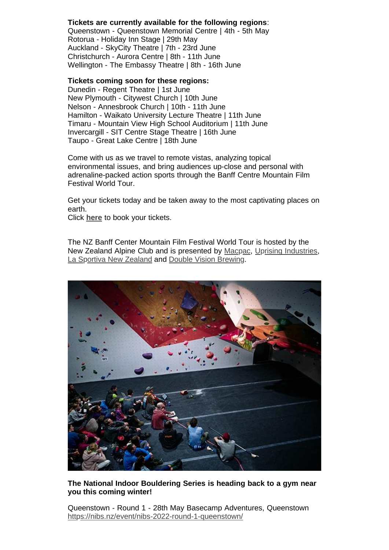#### **Tickets are currently available for the following regions**:

Queenstown - Queenstown Memorial Centre | 4th - 5th May Rotorua - Holiday Inn Stage | 29th May Auckland - SkyCity Theatre | 7th - 23rd June Christchurch - Aurora Centre | 8th - 11th June Wellington - The Embassy Theatre | 8th - 16th June

#### **Tickets coming soon for these regions:**

Dunedin - Regent Theatre | 1st June New Plymouth - Citywest Church | 10th June Nelson - Annesbrook Church | 10th - 11th June Hamilton - Waikato University Lecture Theatre | 11th June Timaru - Mountain View High School Auditorium | 11th June Invercargill - SIT Centre Stage Theatre | 16th June Taupo - Great Lake Centre | 18th June

Come with us as we travel to remote vistas, analyzing topical environmental issues, and bring audiences up-close and personal with adrenaline-packed action sports through the Banff Centre Mountain Film Festival World Tour.

Get your tickets today and be taken away to the most captivating places on earth.

Click **[here](https://banff.nz/tickets-venues/)** to book your tickets.

The NZ Banff Center Mountain Film Festival World Tour is hosted by the New Zealand Alpine Club and is presented by [Macpac,](https://www.facebook.com/macpac/?__cft__%5B0%5D=AZXXrcBPEJXmKHG7p13OS_zFgOt1oFR6NEC3I5ChWj6EHDuUhp8l5BEKxLKrso5xU8LpLNJ3B30Bium4iocsRiKJhD999fNkzJ4rePVlRy1Bwd3HS8RSdjp1hkDxYhTJ2QjFfTQZZUttt5lJNEMUowj2Xn1McUM6DohfkZbnKWg9BC6ahVw0He1R7JOjLayFFKQ&__tn__=kK-R) Uprising [Industries,](https://www.facebook.com/UprisingIndustries/?__cft__%5B0%5D=AZXXrcBPEJXmKHG7p13OS_zFgOt1oFR6NEC3I5ChWj6EHDuUhp8l5BEKxLKrso5xU8LpLNJ3B30Bium4iocsRiKJhD999fNkzJ4rePVlRy1Bwd3HS8RSdjp1hkDxYhTJ2QjFfTQZZUttt5lJNEMUowj2Xn1McUM6DohfkZbnKWg9BC6ahVw0He1R7JOjLayFFKQ&__tn__=kK-R) La [Sportiva](https://www.facebook.com/lasportivanz/?__cft__%5B0%5D=AZXXrcBPEJXmKHG7p13OS_zFgOt1oFR6NEC3I5ChWj6EHDuUhp8l5BEKxLKrso5xU8LpLNJ3B30Bium4iocsRiKJhD999fNkzJ4rePVlRy1Bwd3HS8RSdjp1hkDxYhTJ2QjFfTQZZUttt5lJNEMUowj2Xn1McUM6DohfkZbnKWg9BC6ahVw0He1R7JOjLayFFKQ&__tn__=kK-R) New Zealand and Double Vision [Brewing.](https://www.facebook.com/DoubleVisionBrewing/?__cft__%5B0%5D=AZXXrcBPEJXmKHG7p13OS_zFgOt1oFR6NEC3I5ChWj6EHDuUhp8l5BEKxLKrso5xU8LpLNJ3B30Bium4iocsRiKJhD999fNkzJ4rePVlRy1Bwd3HS8RSdjp1hkDxYhTJ2QjFfTQZZUttt5lJNEMUowj2Xn1McUM6DohfkZbnKWg9BC6ahVw0He1R7JOjLayFFKQ&__tn__=kK-R)



#### **The National Indoor Bouldering Series is heading back to a gym near you this coming winter!**

Queenstown - Round 1 - 28th May Basecamp Adventures, Queenstown <https://nibs.nz/event/nibs-2022-round-1-queenstown/>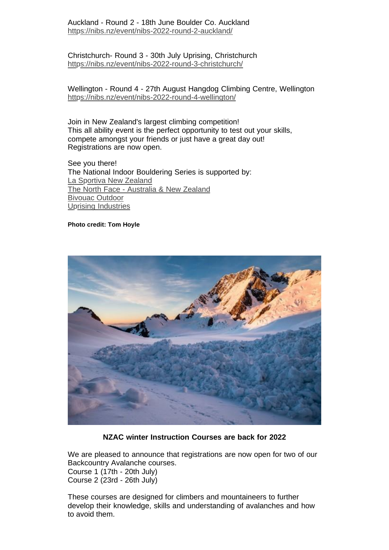Christchurch- Round 3 - 30th July Uprising, Christchurch <https://nibs.nz/event/nibs-2022-round-3-christchurch/>

#### Wellington - Round 4 - 27th August Hangdog Climbing Centre, Wellington <https://nibs.nz/event/nibs-2022-round-4-wellington/>

Join in New Zealand's largest climbing competition! This all ability event is the perfect opportunity to test out your skills, compete amongst your friends or just have a great day out! Registrations are now open.

See you there! The National Indoor Bouldering Series is supported by: La Sportiva [New Zealand](https://www.facebook.com/lasportivanz/?__cft__%5B0%5D=AZWlwbEDfdfSW6kdetZOqsXcwBnODllKYT4N7fmlZhAJLwKtR0DcsrtuNX_2M2IkuD371KicOZHrgGaj5y2Lpb-CMHw9NHKazXU5E3KP9adDh-hKsA-NJdklw-Ed3dHtNKP0VkiB0PtZ0Wf6IWkLAxwPK6RzpILr-rrtq4axoVUrSeMOUbqwdC64wtut5EN3CisgHiHkmPatoruVFWpSQ75w3YCUygy2fSBN5opFoHFnaQ&__tn__=kK-R) The North Face - [Australia](https://www.facebook.com/thenorthfacechristchurch/?__cft__%5B0%5D=AZWlwbEDfdfSW6kdetZOqsXcwBnODllKYT4N7fmlZhAJLwKtR0DcsrtuNX_2M2IkuD371KicOZHrgGaj5y2Lpb-CMHw9NHKazXU5E3KP9adDh-hKsA-NJdklw-Ed3dHtNKP0VkiB0PtZ0Wf6IWkLAxwPK6RzpILr-rrtq4axoVUrSeMOUbqwdC64wtut5EN3CisgHiHkmPatoruVFWpSQ75w3YCUygy2fSBN5opFoHFnaQ&__tn__=kK-R) & New Zealand [Bivouac Outdoor](https://www.facebook.com/bivouacoutdoor/?__cft__%5B0%5D=AZWlwbEDfdfSW6kdetZOqsXcwBnODllKYT4N7fmlZhAJLwKtR0DcsrtuNX_2M2IkuD371KicOZHrgGaj5y2Lpb-CMHw9NHKazXU5E3KP9adDh-hKsA-NJdklw-Ed3dHtNKP0VkiB0PtZ0Wf6IWkLAxwPK6RzpILr-rrtq4axoVUrSeMOUbqwdC64wtut5EN3CisgHiHkmPatoruVFWpSQ75w3YCUygy2fSBN5opFoHFnaQ&__tn__=kK-R) Uprising [Industries](https://www.facebook.com/uprisingchch/?__cft__%5B0%5D=AZWlwbEDfdfSW6kdetZOqsXcwBnODllKYT4N7fmlZhAJLwKtR0DcsrtuNX_2M2IkuD371KicOZHrgGaj5y2Lpb-CMHw9NHKazXU5E3KP9adDh-hKsA-NJdklw-Ed3dHtNKP0VkiB0PtZ0Wf6IWkLAxwPK6RzpILr-rrtq4axoVUrSeMOUbqwdC64wtut5EN3CisgHiHkmPatoruVFWpSQ75w3YCUygy2fSBN5opFoHFnaQ&__tn__=kK-R)

#### **Photo credit: Tom Hoyle**



**NZAC winter Instruction Courses are back for 2022**

We are pleased to announce that registrations are now open for two of our Backcountry Avalanche courses. Course 1 (17th - 20th July) Course 2 (23rd - 26th July)

These courses are designed for climbers and mountaineers to further develop their knowledge, skills and understanding of avalanches and how to avoid them.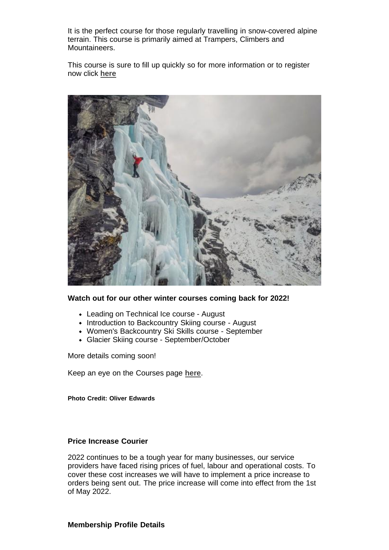It is the perfect course for those regularly travelling in snow-covered alpine terrain. This course is primarily aimed at Trampers, Climbers and Mountaineers.

This course is sure to fill up quickly so for more information or to register now click **[here](https://alpineclub.org.nz/courses)**



#### **Watch out for our other winter courses coming back for 2022!**

- Leading on Technical Ice course August
- Introduction to Backcountry Skiing course August
- Women's Backcountry Ski Skills course September
- Glacier Skiing course September/October

More details coming soon!

Keep an eye on the Courses page **[here](https://alpineclub.org.nz/courses)**.

**Photo Credit: Oliver Edwards**

#### **Price Increase Courier**

2022 continues to be a tough year for many businesses, our service providers have faced rising prices of fuel, labour and operational costs. To cover these cost increases we will have to implement a price increase to orders being sent out. The price increase will come into effect from the 1st of May 2022.

#### **Membership Profile Details**